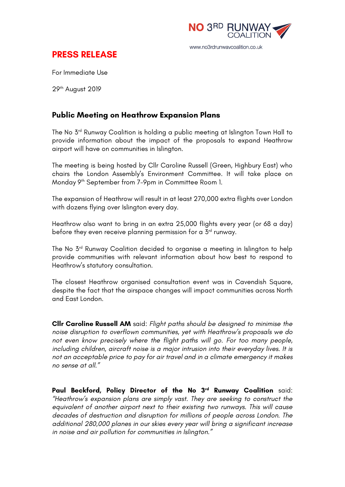

## **PRESS RELEASE**

For Immediate Use

29th August 2019

## **Public Meeting on Heathrow Expansion Plans**

The No 3<sup>rd</sup> Runway Coalition is holding a public meeting at Islington Town Hall to provide information about the impact of the proposals to expand Heathrow airport will have on communities in Islington.

The meeting is being hosted by Cllr Caroline Russell (Green, Highbury East) who chairs the London Assembly's Environment Committee. It will take place on Monday 9th September from 7-9pm in Committee Room 1.

The expansion of Heathrow will result in at least 270,000 extra flights over London with dozens flying over Islington every day.

Heathrow also want to bring in an extra 25,000 flights every year (or 68 a day) before they even receive planning permission for a  $5<sup>rd</sup>$  runway.

The No 3rd Runway Coalition decided to organise a meeting in Islington to help provide communities with relevant information about how best to respond to Heathrow's statutory consultation.

The closest Heathrow organised consultation event was in Cavendish Square, despite the fact that the airspace changes will impact communities across North and East London.

**Cllr Caroline Russell AM** said: *Flight paths should be designed to minimise the noise disruption to overflown communities, yet with Heathrow's proposals we do not even know precisely where the flight paths will go. For too many people, including children, aircraft noise is a major intrusion into their everyday lives. It is not an acceptable price to pay for air travel and in a climate emergency it makes no sense at all."*

**Paul Beckford, Policy Director of the No 3rd Runway Coalition** said: *"Heathrow's expansion plans are simply vast. They are seeking to construct the equivalent of another airport next to their existing two runways. This will cause decades of destruction and disruption for millions of people across London. The additional 280,000 planes in our skies every year will bring a significant increase in noise and air pollution for communities in Islington."*